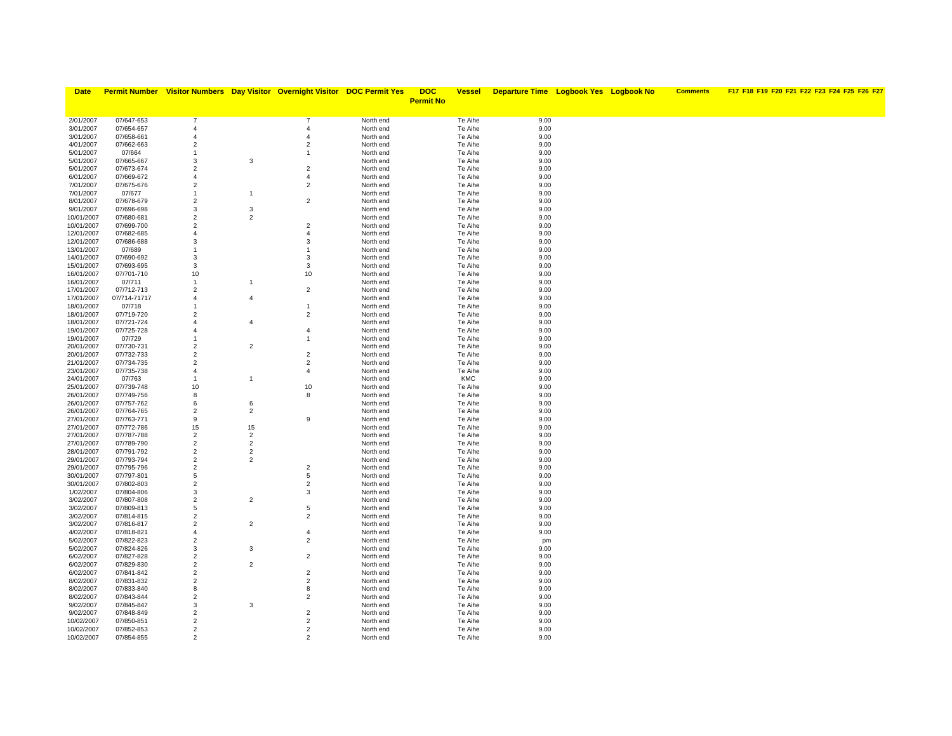| <b>Date</b>              |                          |                                  |                      | <b>Permit Number</b> Visitor Numbers Day Visitor Overnight Visitor DOC Permit Yes |                        | <b>DOC</b>       | <b>Vessel</b>      | <b>Departure Time Logbook Yes Logbook No</b> |  | <b>Comments</b> | F17 F18 F19 F20 F21 F22 F23 F24 F25 F26 F27 |
|--------------------------|--------------------------|----------------------------------|----------------------|-----------------------------------------------------------------------------------|------------------------|------------------|--------------------|----------------------------------------------|--|-----------------|---------------------------------------------|
|                          |                          |                                  |                      |                                                                                   |                        | <b>Permit No</b> |                    |                                              |  |                 |                                             |
|                          |                          |                                  |                      |                                                                                   |                        |                  |                    |                                              |  |                 |                                             |
| 2/01/2007                | 07/647-653               | $\overline{7}$                   |                      | $\overline{7}$                                                                    | North end              |                  | Te Aihe            | 9.00                                         |  |                 |                                             |
| 3/01/2007                | 07/654-657               | $\overline{4}$                   |                      | $\overline{4}$                                                                    | North end              |                  | Te Aihe            | 9.00                                         |  |                 |                                             |
| 3/01/2007                | 07/658-661               | $\overline{4}$                   |                      | $\overline{4}$                                                                    | North end              |                  | Te Aihe            | 9.00                                         |  |                 |                                             |
| 4/01/2007                | 07/662-663               | $\overline{2}$                   |                      | $\overline{2}$                                                                    | North end              |                  | Te Aihe            | 9.00                                         |  |                 |                                             |
| 5/01/2007                | 07/664                   | $\overline{1}$                   |                      | $\mathbf{1}$                                                                      | North end              |                  | Te Aihe            | 9.00                                         |  |                 |                                             |
| 5/01/2007                | 07/665-667               | 3                                | 3                    |                                                                                   | North end              |                  | Te Aihe            | 9.00                                         |  |                 |                                             |
| 5/01/2007                | 07/673-674               | $\overline{2}$                   |                      | $\overline{2}$                                                                    | North end              |                  | Te Aihe            | 9.00                                         |  |                 |                                             |
| 6/01/2007                | 07/669-672               | $\overline{4}$                   |                      | $\overline{4}$                                                                    | North end              |                  | Te Aihe            | 9.00                                         |  |                 |                                             |
| 7/01/2007                | 07/675-676               | $\overline{2}$                   |                      | $\overline{2}$                                                                    | North end              |                  | Te Aihe            | 9.00                                         |  |                 |                                             |
| 7/01/2007<br>8/01/2007   | 07/677<br>07/678-679     | $\mathbf{1}$<br>$\overline{2}$   | $\overline{1}$       | $\overline{2}$                                                                    | North end<br>North end |                  | Te Aihe<br>Te Aihe | 9.00<br>9.00                                 |  |                 |                                             |
| 9/01/2007                | 07/696-698               | 3                                | 3                    |                                                                                   | North end              |                  | Te Aihe            | 9.00                                         |  |                 |                                             |
| 10/01/2007               | 07/680-681               | $\overline{2}$                   | $\overline{2}$       |                                                                                   | North end              |                  | Te Aihe            | 9.00                                         |  |                 |                                             |
| 10/01/2007               | 07/699-700               | $\overline{c}$                   |                      | $\overline{2}$                                                                    | North end              |                  | Te Aihe            | 9.00                                         |  |                 |                                             |
| 12/01/2007               | 07/682-685               | $\overline{4}$                   |                      | $\overline{4}$                                                                    | North end              |                  | Te Aihe            | 9.00                                         |  |                 |                                             |
| 12/01/2007               | 07/686-688               | 3                                |                      | 3                                                                                 | North end              |                  | Te Aihe            | 9.00                                         |  |                 |                                             |
| 13/01/2007               | 07/689                   | $\overline{1}$                   |                      | $\mathbf{1}$                                                                      | North end              |                  | Te Aihe            | 9.00                                         |  |                 |                                             |
| 14/01/2007               | 07/690-692               | 3                                |                      | 3                                                                                 | North end              |                  | Te Aihe            | 9.00                                         |  |                 |                                             |
| 15/01/2007               | 07/693-695               | 3                                |                      | 3                                                                                 | North end              |                  | Te Aihe            | 9.00                                         |  |                 |                                             |
| 16/01/2007               | 07/701-710               | 10                               |                      | 10                                                                                | North end              |                  | Te Aihe            | 9.00                                         |  |                 |                                             |
| 16/01/2007               | 07/711                   | $\mathbf{1}$                     | $\overline{1}$       |                                                                                   | North end              |                  | Te Aihe            | 9.00                                         |  |                 |                                             |
| 17/01/2007               | 07/712-713               | $\overline{2}$                   |                      | $\overline{2}$                                                                    | North end              |                  | Te Aihe            | 9.00                                         |  |                 |                                             |
| 17/01/2007               | 07/714-71717             | $\overline{4}$                   | $\overline{4}$       |                                                                                   | North end              |                  | Te Aihe            | 9.00                                         |  |                 |                                             |
| 18/01/2007               | 07/718                   | $\overline{1}$<br>$\overline{2}$ |                      | 1                                                                                 | North end              |                  | Te Aihe            | 9.00                                         |  |                 |                                             |
| 18/01/2007<br>18/01/2007 | 07/719-720<br>07/721-724 | $\overline{4}$                   | $\overline{4}$       | $\overline{2}$                                                                    | North end<br>North end |                  | Te Aihe<br>Te Aihe | 9.00<br>9.00                                 |  |                 |                                             |
| 19/01/2007               | 07/725-728               | $\overline{4}$                   |                      | $\overline{4}$                                                                    | North end              |                  | Te Aihe            | 9.00                                         |  |                 |                                             |
| 19/01/2007               | 07/729                   | $\overline{1}$                   |                      | 1                                                                                 | North end              |                  | Te Aihe            | 9.00                                         |  |                 |                                             |
| 20/01/2007               | 07/730-731               | $\overline{2}$                   | $\overline{2}$       |                                                                                   | North end              |                  | Te Aihe            | 9.00                                         |  |                 |                                             |
| 20/01/2007               | 07/732-733               | $\overline{2}$                   |                      | $\overline{2}$                                                                    | North end              |                  | Te Aihe            | 9.00                                         |  |                 |                                             |
| 21/01/2007               | 07/734-735               | $\overline{2}$                   |                      | $\overline{2}$                                                                    | North end              |                  | Te Aihe            | 9.00                                         |  |                 |                                             |
| 23/01/2007               | 07/735-738               | $\overline{4}$                   |                      | 4                                                                                 | North end              |                  | Te Aihe            | 9.00                                         |  |                 |                                             |
| 24/01/2007               | 07/763                   | $\mathbf{1}$                     | $\overline{1}$       |                                                                                   | North end              |                  | <b>KMC</b>         | 9.00                                         |  |                 |                                             |
| 25/01/2007               | 07/739-748               | 10                               |                      | 10                                                                                | North end              |                  | Te Aihe            | 9.00                                         |  |                 |                                             |
| 26/01/2007               | 07/749-756               | 8                                |                      | 8                                                                                 | North end              |                  | Te Aihe            | 9.00                                         |  |                 |                                             |
| 26/01/2007               | 07/757-762               | 6                                | 6                    |                                                                                   | North end              |                  | Te Aihe            | 9.00                                         |  |                 |                                             |
| 26/01/2007               | 07/764-765               | $\overline{c}$                   | $\overline{2}$       |                                                                                   | North end              |                  | Te Aihe            | 9.00                                         |  |                 |                                             |
| 27/01/2007               | 07/763-771               | 9                                |                      | 9                                                                                 | North end              |                  | Te Aihe            | 9.00                                         |  |                 |                                             |
| 27/01/2007<br>27/01/2007 | 07/772-786<br>07/787-788 | 15<br>$\overline{2}$             | 15<br>$\overline{2}$ |                                                                                   | North end<br>North end |                  | Te Aihe<br>Te Aihe | 9.00<br>9.00                                 |  |                 |                                             |
| 27/01/2007               | 07/789-790               | $\overline{2}$                   | $\overline{2}$       |                                                                                   | North end              |                  | Te Aihe            | 9.00                                         |  |                 |                                             |
| 28/01/2007               | 07/791-792               | $\overline{2}$                   | $\overline{2}$       |                                                                                   | North end              |                  | Te Aihe            | 9.00                                         |  |                 |                                             |
| 29/01/2007               | 07/793-794               | $\overline{2}$                   | $\overline{2}$       |                                                                                   | North end              |                  | Te Aihe            | 9.00                                         |  |                 |                                             |
| 29/01/2007               | 07/795-796               | $\overline{2}$                   |                      | $\overline{2}$                                                                    | North end              |                  | Te Aihe            | 9.00                                         |  |                 |                                             |
| 30/01/2007               | 07/797-801               | 5                                |                      | 5                                                                                 | North end              |                  | Te Aihe            | 9.00                                         |  |                 |                                             |
| 30/01/2007               | 07/802-803               | $\overline{2}$                   |                      | $\overline{2}$                                                                    | North end              |                  | Te Aihe            | 9.00                                         |  |                 |                                             |
| 1/02/2007                | 07/804-806               | 3                                |                      | 3                                                                                 | North end              |                  | Te Aihe            | 9.00                                         |  |                 |                                             |
| 3/02/2007                | 07/807-808               | $\overline{2}$                   | $\overline{2}$       |                                                                                   | North end              |                  | Te Aihe            | 9.00                                         |  |                 |                                             |
| 3/02/2007                | 07/809-813               | 5                                |                      | 5                                                                                 | North end              |                  | Te Aihe            | 9.00                                         |  |                 |                                             |
| 3/02/2007                | 07/814-815               | $\overline{2}$                   |                      | $\overline{2}$                                                                    | North end              |                  | Te Aihe            | 9.00                                         |  |                 |                                             |
| 3/02/2007                | 07/816-817               | $\overline{2}$                   | $\overline{2}$       |                                                                                   | North end              |                  | Te Aihe            | 9.00                                         |  |                 |                                             |
| 4/02/2007                | 07/818-821               | $\overline{4}$                   |                      | 4                                                                                 | North end              |                  | Te Aihe            | 9.00                                         |  |                 |                                             |
| 5/02/2007<br>5/02/2007   | 07/822-823<br>07/824-826 | $\overline{2}$<br>3              | 3                    | $\overline{2}$                                                                    | North end<br>North end |                  | Te Aihe<br>Te Aihe | pm<br>9.00                                   |  |                 |                                             |
| 6/02/2007                | 07/827-828               | $\overline{2}$                   |                      | $\overline{2}$                                                                    | North end              |                  | Te Aihe            | 9.00                                         |  |                 |                                             |
| 6/02/2007                | 07/829-830               | $\overline{2}$                   | $\overline{2}$       |                                                                                   | North end              |                  | Te Aihe            | 9.00                                         |  |                 |                                             |
| 6/02/2007                | 07/841-842               | $\overline{2}$                   |                      | $\overline{2}$                                                                    | North end              |                  | Te Aihe            | 9.00                                         |  |                 |                                             |
| 8/02/2007                | 07/831-832               | $\overline{2}$                   |                      | $\overline{2}$                                                                    | North end              |                  | Te Aihe            | 9.00                                         |  |                 |                                             |
| 8/02/2007                | 07/833-840               | 8                                |                      | 8                                                                                 | North end              |                  | Te Aihe            | 9.00                                         |  |                 |                                             |
| 8/02/2007                | 07/843-844               | $\overline{2}$                   |                      | $\overline{2}$                                                                    | North end              |                  | Te Aihe            | 9.00                                         |  |                 |                                             |
| 9/02/2007                | 07/845-847               | 3                                | 3                    |                                                                                   | North end              |                  | Te Aihe            | 9.00                                         |  |                 |                                             |
| 9/02/2007                | 07/848-849               | $\overline{2}$                   |                      | $\overline{2}$                                                                    | North end              |                  | Te Aihe            | 9.00                                         |  |                 |                                             |
| 10/02/2007               | 07/850-851               | $\overline{2}$                   |                      | $\overline{2}$                                                                    | North end              |                  | Te Aihe            | 9.00                                         |  |                 |                                             |
| 10/02/2007               | 07/852-853               | $\overline{2}$                   |                      | $\overline{2}$                                                                    | North end              |                  | Te Aihe            | 9.00                                         |  |                 |                                             |
| 10/02/2007               | 07/854-855               | $\mathcal{P}$                    |                      | 2                                                                                 | North end              |                  | Te Aihe            | 9.00                                         |  |                 |                                             |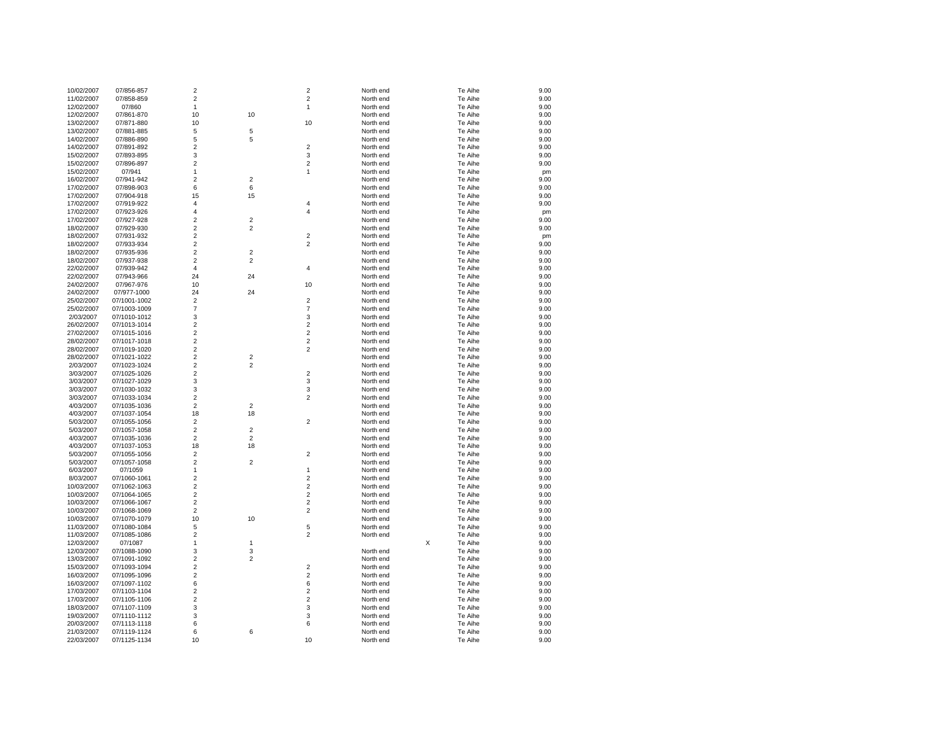| 10/02/2007 | 07/856-857   | $\sqrt{2}$     |                | 2                       | North end |   | Te Aihe | 9.00 |
|------------|--------------|----------------|----------------|-------------------------|-----------|---|---------|------|
| 11/02/2007 | 07/858-859   | $\overline{2}$ |                | 2                       | North end |   | Te Aihe | 9.00 |
| 12/02/2007 | 07/860       | $\mathbf{1}$   |                | 1                       | North end |   | Te Aihe | 9.00 |
| 12/02/2007 | 07/861-870   | 10             | 10             |                         | North end |   | Te Aihe | 9.00 |
| 13/02/2007 | 07/871-880   | 10             |                | 10                      | North end |   | Te Aihe | 9.00 |
| 13/02/2007 | 07/881-885   | 5              | 5              |                         | North end |   | Te Aihe | 9.00 |
| 14/02/2007 | 07/886-890   | 5              | 5              |                         | North end |   | Te Aihe | 9.00 |
| 14/02/2007 | 07/891-892   | $\overline{2}$ |                | 2                       | North end |   | Te Aihe | 9.00 |
|            |              | 3              |                | 3                       | North end |   | Te Aihe | 9.00 |
| 15/02/2007 | 07/893-895   |                |                |                         |           |   |         |      |
| 15/02/2007 | 07/896-897   | $\overline{c}$ |                | $\overline{2}$          | North end |   | Te Aihe | 9.00 |
| 15/02/2007 | 07/941       | 1              |                | 1                       | North end |   | Te Aihe | pm   |
| 16/02/2007 | 07/941-942   | $\overline{2}$ | $\overline{2}$ |                         | North end |   | Te Aihe | 9.00 |
| 17/02/2007 | 07/898-903   | 6              | 6              |                         | North end |   | Te Aihe | 9.00 |
| 17/02/2007 | 07/904-918   | 15             | 15             |                         | North end |   | Te Aihe | 9.00 |
| 17/02/2007 | 07/919-922   | 4              |                | 4                       | North end |   | Te Aihe | 9.00 |
| 17/02/2007 | 07/923-926   | 4              |                | 4                       | North end |   | Te Aihe | pm   |
| 17/02/2007 | 07/927-928   | $\overline{2}$ | $\mathbf 2$    |                         | North end |   | Te Aihe | 9.00 |
| 18/02/2007 | 07/929-930   | $\overline{2}$ | $\overline{2}$ |                         | North end |   | Te Aihe | 9.00 |
| 18/02/2007 | 07/931-932   | $\overline{2}$ |                | $\overline{\mathbf{c}}$ | North end |   | Te Aihe | pm   |
| 18/02/2007 | 07/933-934   | $\overline{2}$ |                | $\overline{\mathbf{c}}$ | North end |   | Te Aihe | 9.00 |
| 18/02/2007 | 07/935-936   | $\overline{2}$ | $\overline{2}$ |                         | North end |   | Te Aihe | 9.00 |
|            |              |                | $\overline{2}$ |                         |           |   |         |      |
| 18/02/2007 | 07/937-938   | $\mathbf 2$    |                |                         | North end |   | Te Aihe | 9.00 |
| 22/02/2007 | 07/939-942   | $\overline{4}$ |                | $\overline{4}$          | North end |   | Te Aihe | 9.00 |
| 22/02/2007 | 07/943-966   | 24             | 24             |                         | North end |   | Te Aihe | 9.00 |
| 24/02/2007 | 07/967-976   | 10             |                | 10                      | North end |   | Te Aihe | 9.00 |
| 24/02/2007 | 07/977-1000  | 24             | 24             |                         | North end |   | Te Aihe | 9.00 |
| 25/02/2007 | 07/1001-1002 | $\overline{2}$ |                | $\boldsymbol{2}$        | North end |   | Te Aihe | 9.00 |
| 25/02/2007 | 07/1003-1009 | $\overline{7}$ |                | $\overline{7}$          | North end |   | Te Aihe | 9.00 |
| 2/03/2007  | 07/1010-1012 | 3              |                | 3                       | North end |   | Te Aihe | 9.00 |
| 26/02/2007 | 07/1013-1014 | $\overline{2}$ |                | $\overline{2}$          | North end |   | Te Aihe | 9.00 |
| 27/02/2007 | 07/1015-1016 | $\mathbf 2$    |                | $\boldsymbol{2}$        | North end |   | Te Aihe | 9.00 |
| 28/02/2007 | 07/1017-1018 | $\mathbf 2$    |                | $\boldsymbol{2}$        | North end |   | Te Aihe | 9.00 |
| 28/02/2007 | 07/1019-1020 | $\overline{2}$ |                | $\overline{2}$          | North end |   | Te Aihe | 9.00 |
|            |              | $\mathbf 2$    | $\mathbf 2$    |                         |           |   |         |      |
| 28/02/2007 | 07/1021-1022 |                |                |                         | North end |   | Te Aihe | 9.00 |
| 2/03/2007  | 07/1023-1024 | $\overline{2}$ | $\overline{2}$ |                         | North end |   | Te Aihe | 9.00 |
| 3/03/2007  | 07/1025-1026 | $\overline{2}$ |                | $\overline{\mathbf{c}}$ | North end |   | Te Aihe | 9.00 |
| 3/03/2007  | 07/1027-1029 | 3              |                | 3                       | North end |   | Te Aihe | 9.00 |
| 3/03/2007  | 07/1030-1032 | 3              |                | 3                       | North end |   | Te Aihe | 9.00 |
| 3/03/2007  | 07/1033-1034 | $\overline{2}$ |                | $\overline{2}$          | North end |   | Te Aihe | 9.00 |
| 4/03/2007  | 07/1035-1036 | $\overline{2}$ | $\overline{2}$ |                         | North end |   | Te Aihe | 9.00 |
| 4/03/2007  | 07/1037-1054 | 18             | 18             |                         | North end |   | Te Aihe | 9.00 |
| 5/03/2007  | 07/1055-1056 | $\overline{2}$ |                | $\overline{\mathbf{c}}$ | North end |   | Te Aihe | 9.00 |
| 5/03/2007  | 07/1057-1058 | $\overline{2}$ | $\mathbf 2$    |                         | North end |   | Te Aihe | 9.00 |
| 4/03/2007  | 07/1035-1036 | $\overline{2}$ | $\overline{2}$ |                         | North end |   | Te Aihe | 9.00 |
| 4/03/2007  | 07/1037-1053 | 18             | 18             |                         | North end |   | Te Aihe | 9.00 |
| 5/03/2007  | 07/1055-1056 | $\overline{2}$ |                | $\overline{\mathbf{c}}$ | North end |   | Te Aihe | 9.00 |
| 5/03/2007  | 07/1057-1058 | $\overline{2}$ | $\overline{2}$ |                         | North end |   | Te Aihe | 9.00 |
|            |              | $\mathbf{1}$   |                | 1                       |           |   | Te Aihe | 9.00 |
| 6/03/2007  | 07/1059      |                |                |                         | North end |   |         |      |
| 8/03/2007  | 07/1060-1061 | $\overline{c}$ |                | $\overline{c}$          | North end |   | Te Aihe | 9.00 |
| 10/03/2007 | 07/1062-1063 | $\overline{c}$ |                | $\overline{\mathbf{c}}$ | North end |   | Te Aihe | 9.00 |
| 10/03/2007 | 07/1064-1065 | $\overline{2}$ |                | $\overline{2}$          | North end |   | Te Aihe | 9.00 |
| 10/03/2007 | 07/1066-1067 | $\mathbf 2$    |                | $\boldsymbol{2}$        | North end |   | Te Aihe | 9.00 |
| 10/03/2007 | 07/1068-1069 | $\overline{2}$ |                | $\overline{2}$          | North end |   | Te Aihe | 9.00 |
| 10/03/2007 | 07/1070-1079 | 10             | 10             |                         | North end |   | Te Aihe | 9.00 |
| 11/03/2007 | 07/1080-1084 | 5              |                | 5                       | North end |   | Te Aihe | 9.00 |
| 11/03/2007 | 07/1085-1086 | $\overline{2}$ |                | 2                       | North end |   | Te Aihe | 9.00 |
| 12/03/2007 | 07/1087      | $\mathbf{1}$   | $\mathbf{1}$   |                         |           | X | Te Aihe | 9.00 |
| 12/03/2007 | 07/1088-1090 | 3              | 3              |                         | North end |   | Te Aihe | 9.00 |
| 13/03/2007 | 07/1091-1092 | $\overline{c}$ | $\overline{2}$ |                         | North end |   | Te Aihe | 9.00 |
| 15/03/2007 | 07/1093-1094 | $\overline{2}$ |                | $\overline{\mathbf{c}}$ | North end |   | Te Aihe | 9.00 |
| 16/03/2007 | 07/1095-1096 | $\overline{c}$ |                | $\overline{\mathbf{c}}$ | North end |   | Te Aihe | 9.00 |
| 16/03/2007 | 07/1097-1102 | 6              |                | 6                       | North end |   | Te Aihe | 9.00 |
|            |              |                |                |                         |           |   |         |      |
| 17/03/2007 | 07/1103-1104 | $\sqrt{2}$     |                | $\boldsymbol{2}$        | North end |   | Te Aihe | 9.00 |
| 17/03/2007 | 07/1105-1106 | $\mathbf 2$    |                | $\overline{c}$          | North end |   | Te Aihe | 9.00 |
| 18/03/2007 | 07/1107-1109 | 3              |                | 3                       | North end |   | Te Aihe | 9.00 |
| 19/03/2007 | 07/1110-1112 | 3              |                | 3                       | North end |   | Te Aihe | 9.00 |
| 20/03/2007 | 07/1113-1118 | 6              |                | 6                       | North end |   | Te Aihe | 9.00 |
| 21/03/2007 | 07/1119-1124 | 6              | 6              |                         | North end |   | Te Aihe | 9.00 |
| 22/03/2007 | 07/1125-1134 | 10             |                | 10                      | North end |   | Te Aihe | 9.00 |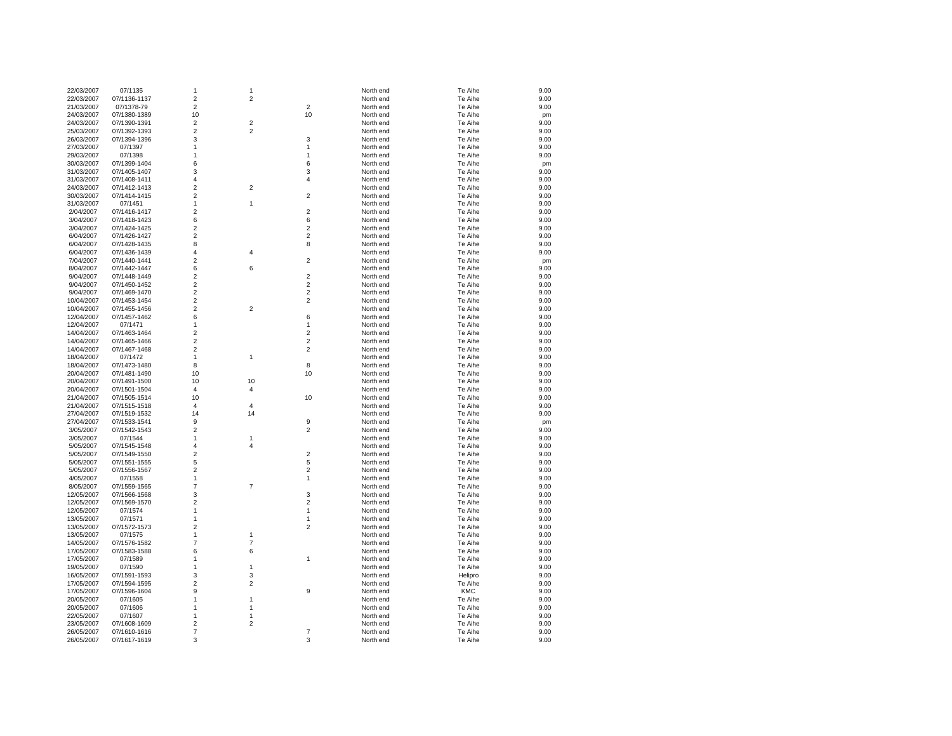| 22/03/2007 | 07/1135      | 1                       | 1              |                         | North end | Te Aihe    | 9.00 |
|------------|--------------|-------------------------|----------------|-------------------------|-----------|------------|------|
| 22/03/2007 | 07/1136-1137 | $\overline{\mathbf{c}}$ | $\overline{c}$ |                         | North end | Te Aihe    | 9.00 |
| 21/03/2007 | 07/1378-79   | $\overline{2}$          |                | $\overline{2}$          | North end | Te Aihe    | 9.00 |
| 24/03/2007 | 07/1380-1389 | 10                      |                | 10                      | North end | Te Aihe    | pm   |
| 24/03/2007 | 07/1390-1391 | $\overline{2}$          | $\overline{c}$ |                         | North end | Te Aihe    | 9.00 |
| 25/03/2007 | 07/1392-1393 | $\overline{\mathbf{c}}$ | 2              |                         | North end | Te Aihe    | 9.00 |
| 26/03/2007 | 07/1394-1396 | 3                       |                | 3                       | North end | Te Aihe    | 9.00 |
| 27/03/2007 | 07/1397      | 1                       |                | 1                       | North end | Te Aihe    | 9.00 |
| 29/03/2007 | 07/1398      | 1                       |                | 1                       | North end | Te Aihe    | 9.00 |
| 30/03/2007 | 07/1399-1404 | 6                       |                | 6                       | North end | Te Aihe    | pm   |
| 31/03/2007 | 07/1405-1407 | 3                       |                | 3                       | North end | Te Aihe    | 9.00 |
| 31/03/2007 | 07/1408-1411 | 4                       |                | 4                       | North end | Te Aihe    | 9.00 |
| 24/03/2007 | 07/1412-1413 | $\overline{c}$          | 2              |                         | North end | Te Aihe    | 9.00 |
| 30/03/2007 | 07/1414-1415 | $\overline{2}$          |                | $\overline{\mathbf{c}}$ | North end | Te Aihe    | 9.00 |
| 31/03/2007 | 07/1451      | 1                       | $\mathbf{1}$   |                         | North end | Te Aihe    | 9.00 |
| 2/04/2007  | 07/1416-1417 | $\overline{\mathbf{c}}$ |                | $\overline{c}$          | North end | Te Aihe    | 9.00 |
| 3/04/2007  | 07/1418-1423 | 6                       |                | 6                       | North end | Te Aihe    | 9.00 |
| 3/04/2007  | 07/1424-1425 | 2                       |                | 2                       | North end | Te Aihe    | 9.00 |
| 6/04/2007  | 07/1426-1427 | $\overline{c}$          |                | $\overline{\mathbf{c}}$ | North end | Te Aihe    | 9.00 |
| 6/04/2007  | 07/1428-1435 | 8                       |                | 8                       | North end | Te Aihe    | 9.00 |
| 6/04/2007  | 07/1436-1439 | 4                       | 4              |                         | North end | Te Aihe    | 9.00 |
| 7/04/2007  | 07/1440-1441 | $\overline{2}$          |                | $\overline{2}$          | North end | Te Aihe    | pm   |
| 8/04/2007  | 07/1442-1447 | 6                       | 6              |                         | North end | Te Aihe    | 9.00 |
| 9/04/2007  | 07/1448-1449 | $\overline{\mathbf{c}}$ |                | $\overline{\mathbf{c}}$ | North end | Te Aihe    | 9.00 |
| 9/04/2007  | 07/1450-1452 | $\overline{c}$          |                | $\overline{\mathbf{c}}$ | North end | Te Aihe    | 9.00 |
| 9/04/2007  | 07/1469-1470 | $\overline{2}$          |                | $\overline{c}$          | North end | Te Aihe    | 9.00 |
| 10/04/2007 | 07/1453-1454 | $\overline{2}$          |                | $\overline{2}$          | North end | Te Aihe    | 9.00 |
| 10/04/2007 | 07/1455-1456 | $\overline{\mathbf{c}}$ | 2              |                         | North end | Te Aihe    | 9.00 |
| 12/04/2007 | 07/1457-1462 | 6                       |                | 6                       | North end | Te Aihe    | 9.00 |
| 12/04/2007 | 07/1471      | 1                       |                | 1                       | North end | Te Aihe    | 9.00 |
| 14/04/2007 | 07/1463-1464 | $\overline{c}$          |                | $\overline{2}$          | North end | Te Aihe    | 9.00 |
| 14/04/2007 | 07/1465-1466 | $\overline{c}$          |                | $\overline{2}$          | North end | Te Aihe    | 9.00 |
| 14/04/2007 | 07/1467-1468 | 2                       |                | 2                       | North end | Te Aihe    | 9.00 |
| 18/04/2007 | 07/1472      | $\mathbf{1}$            | $\mathbf{1}$   |                         | North end | Te Aihe    | 9.00 |
| 18/04/2007 | 07/1473-1480 | 8                       |                | 8                       | North end | Te Aihe    | 9.00 |
| 20/04/2007 | 07/1481-1490 | 10                      |                | 10                      | North end | Te Aihe    | 9.00 |
| 20/04/2007 | 07/1491-1500 | 10                      | 10             |                         | North end | Te Aihe    | 9.00 |
| 20/04/2007 | 07/1501-1504 | 4                       | 4              |                         | North end | Te Aihe    | 9.00 |
| 21/04/2007 | 07/1505-1514 | 10                      |                | 10                      | North end | Te Aihe    | 9.00 |
| 21/04/2007 | 07/1515-1518 | 4                       | 4              |                         | North end | Te Aihe    | 9.00 |
| 27/04/2007 | 07/1519-1532 | 14                      | 14             |                         | North end | Te Aihe    | 9.00 |
| 27/04/2007 | 07/1533-1541 | 9                       |                | 9                       | North end | Te Aihe    | pm   |
| 3/05/2007  | 07/1542-1543 | $\overline{2}$          |                | $\overline{\mathbf{c}}$ | North end | Te Aihe    | 9.00 |
| 3/05/2007  | 07/1544      | $\mathbf{1}$            | 1              |                         | North end | Te Aihe    | 9.00 |
| 5/05/2007  | 07/1545-1548 | $\overline{4}$          | 4              |                         | North end | Te Aihe    | 9.00 |
| 5/05/2007  | 07/1549-1550 | $\overline{c}$          |                | $\overline{\mathbf{c}}$ | North end | Te Aihe    | 9.00 |
| 5/05/2007  | 07/1551-1555 | 5                       |                | 5                       | North end | Te Aihe    | 9.00 |
| 5/05/2007  | 07/1556-1567 | $\overline{c}$          |                | $\overline{\mathbf{c}}$ | North end | Te Aihe    | 9.00 |
| 4/05/2007  | 07/1558      | $\mathbf{1}$            |                | $\mathbf{1}$            | North end | Te Aihe    | 9.00 |
| 8/05/2007  | 07/1559-1565 | 7                       | $\overline{7}$ |                         | North end | Te Aihe    | 9.00 |
| 12/05/2007 | 07/1566-1568 | 3                       |                | 3                       | North end | Te Aihe    | 9.00 |
| 12/05/2007 | 07/1569-1570 | $\overline{c}$          |                | $\overline{\mathbf{c}}$ | North end | Te Aihe    | 9.00 |
| 12/05/2007 | 07/1574      | 1                       |                | 1                       | North end | Te Aihe    | 9.00 |
| 13/05/2007 | 07/1571      | $\mathbf{1}$            |                | $\mathbf{1}$            | North end | Te Aihe    | 9.00 |
| 13/05/2007 | 07/1572-1573 | $\overline{2}$          |                | $\overline{2}$          | North end | Te Aihe    | 9.00 |
| 13/05/2007 | 07/1575      | 1                       | 1              |                         | North end | Te Aihe    | 9.00 |
| 14/05/2007 | 07/1576-1582 | $\overline{7}$          | 7              |                         | North end | Te Aihe    | 9.00 |
| 17/05/2007 | 07/1583-1588 | 6                       | 6              |                         | North end | Te Aihe    | 9.00 |
| 17/05/2007 | 07/1589      | 1                       |                | 1                       | North end | Te Aihe    | 9.00 |
| 19/05/2007 | 07/1590      | 1                       | 1              |                         | North end | Te Aihe    | 9.00 |
| 16/05/2007 | 07/1591-1593 | 3                       | 3              |                         | North end | Helipro    | 9.00 |
| 17/05/2007 | 07/1594-1595 | $\overline{c}$          | 2              |                         | North end | Te Aihe    | 9.00 |
| 17/05/2007 | 07/1596-1604 | 9                       |                | 9                       | North end | <b>KMC</b> | 9.00 |
| 20/05/2007 | 07/1605      | $\mathbf{1}$            | 1              |                         | North end | Te Aihe    | 9.00 |
| 20/05/2007 | 07/1606      | 1                       | 1              |                         | North end | Te Aihe    | 9.00 |
| 22/05/2007 | 07/1607      | $\mathbf{1}$            | 1              |                         | North end | Te Aihe    | 9.00 |
| 23/05/2007 | 07/1608-1609 | $\overline{2}$          | $\overline{2}$ |                         | North end | Te Aihe    | 9.00 |
| 26/05/2007 | 07/1610-1616 | $\overline{7}$          |                | 7                       | North end | Te Aihe    | 9.00 |
| 26/05/2007 | 07/1617-1619 | 3                       |                | 3                       | North end | Te Aihe    | 9.00 |
|            |              |                         |                |                         |           |            |      |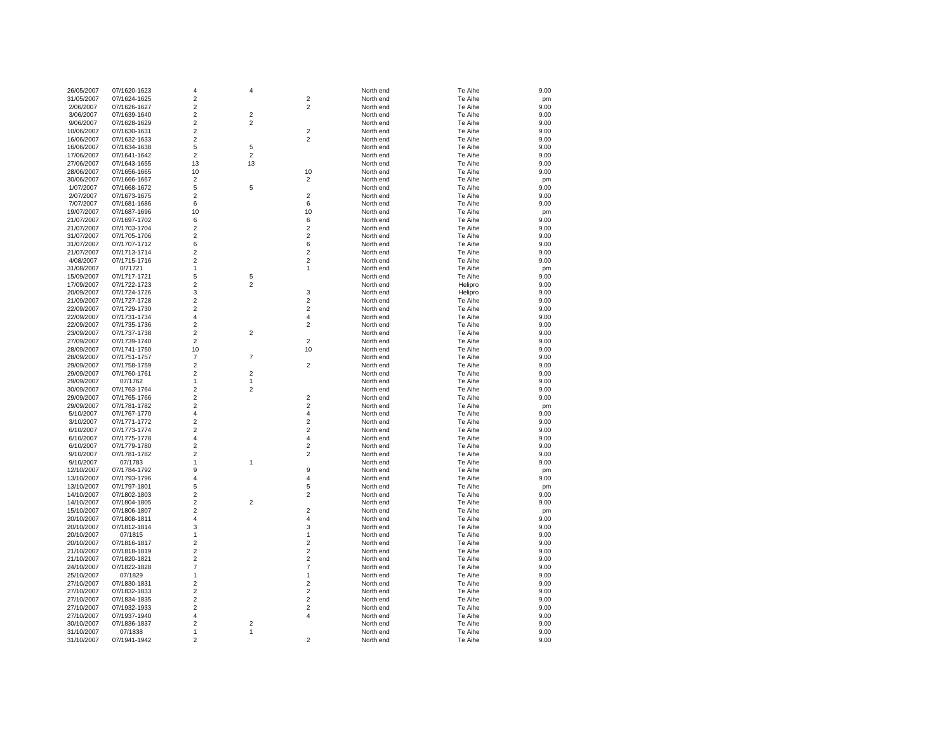| 26/05/2007 | 07/1620-1623 | $\overline{\mathbf{4}}$ | 4                       |                         | North end | Te Aihe | 9.00 |
|------------|--------------|-------------------------|-------------------------|-------------------------|-----------|---------|------|
| 31/05/2007 | 07/1624-1625 | $\overline{2}$          |                         | $\overline{2}$          | North end | Te Aihe | pm   |
| 2/06/2007  | 07/1626-1627 | $\overline{c}$          |                         | $\overline{2}$          | North end | Te Aihe | 9.00 |
| 3/06/2007  | 07/1639-1640 | $\overline{\mathbf{c}}$ | $\overline{2}$          |                         | North end | Te Aihe | 9.00 |
| 9/06/2007  | 07/1628-1629 | $\overline{2}$          | 2                       |                         | North end | Te Aihe | 9.00 |
| 10/06/2007 | 07/1630-1631 | $\overline{2}$          |                         | $\overline{2}$          | North end | Te Aihe | 9.00 |
| 16/06/2007 | 07/1632-1633 | $\overline{2}$          |                         | $\overline{2}$          | North end | Te Aihe | 9.00 |
| 16/06/2007 | 07/1634-1638 | 5                       | 5                       |                         | North end | Te Aihe | 9.00 |
| 17/06/2007 | 07/1641-1642 | $\overline{c}$          | $\overline{\mathbf{c}}$ |                         | North end | Te Aihe | 9.00 |
| 27/06/2007 | 07/1643-1655 | 13                      | 13                      |                         | North end | Te Aihe | 9.00 |
| 28/06/2007 | 07/1656-1665 | 10                      |                         | 10                      | North end | Te Aihe | 9.00 |
| 30/06/2007 | 07/1666-1667 | $\overline{2}$          |                         | $\overline{2}$          | North end | Te Aihe | pm   |
| 1/07/2007  | 07/1668-1672 | 5                       | 5                       |                         | North end | Te Aihe | 9.00 |
| 2/07/2007  | 07/1673-1675 | $\overline{c}$          |                         | $\overline{2}$          | North end | Te Aihe | 9.00 |
| 7/07/2007  | 07/1681-1686 | 6                       |                         | 6                       | North end | Te Aihe | 9.00 |
| 19/07/2007 | 07/1687-1696 | 10                      |                         | 10                      | North end | Te Aihe | pm   |
| 21/07/2007 | 07/1697-1702 | 6                       |                         | 6                       | North end | Te Aihe | 9.00 |
| 21/07/2007 | 07/1703-1704 | $\overline{c}$          |                         | $\overline{2}$          | North end | Te Aihe | 9.00 |
| 31/07/2007 | 07/1705-1706 | $\overline{c}$          |                         | $\overline{2}$          | North end | Te Aihe | 9.00 |
| 31/07/2007 | 07/1707-1712 | 6                       |                         | 6                       | North end | Te Aihe | 9.00 |
| 21/07/2007 | 07/1713-1714 | $\overline{2}$          |                         | $\overline{2}$          | North end | Te Aihe | 9.00 |
| 4/08/2007  | 07/1715-1716 | $\overline{2}$          |                         | $\overline{2}$          | North end | Te Aihe | 9.00 |
| 31/08/2007 | 0/71721      | $\mathbf{1}$            |                         | 1                       | North end | Te Aihe | pm   |
| 15/09/2007 | 07/1717-1721 | 5                       | 5                       |                         | North end | Te Aihe | 9.00 |
| 17/09/2007 | 07/1722-1723 | $\overline{2}$          | $\overline{\mathbf{c}}$ |                         | North end | Helipro | 9.00 |
| 20/09/2007 | 07/1724-1726 | 3                       |                         | 3                       | North end | Helipro | 9.00 |
| 21/09/2007 | 07/1727-1728 | $\overline{2}$          |                         | $\overline{2}$          | North end | Te Aihe | 9.00 |
| 22/09/2007 | 07/1729-1730 | $\overline{2}$          |                         | $\overline{2}$          | North end | Te Aihe | 9.00 |
| 22/09/2007 | 07/1731-1734 | 4                       |                         | $\overline{4}$          | North end | Te Aihe | 9.00 |
| 22/09/2007 | 07/1735-1736 | $\overline{2}$          |                         | $\overline{2}$          | North end | Te Aihe | 9.00 |
| 23/09/2007 | 07/1737-1738 | $\overline{2}$          | $\overline{\mathbf{c}}$ |                         | North end | Te Aihe | 9.00 |
| 27/09/2007 | 07/1739-1740 | $\overline{2}$          |                         | $\overline{2}$          | North end | Te Aihe | 9.00 |
| 28/09/2007 | 07/1741-1750 | 10                      |                         | 10                      | North end | Te Aihe | 9.00 |
| 28/09/2007 | 07/1751-1757 | $\overline{7}$          | $\overline{7}$          |                         | North end | Te Aihe | 9.00 |
| 29/09/2007 | 07/1758-1759 | $\overline{c}$          |                         | $\overline{2}$          | North end | Te Aihe | 9.00 |
| 29/09/2007 | 07/1760-1761 | $\overline{2}$          | $\overline{2}$          |                         | North end | Te Aihe | 9.00 |
| 29/09/2007 | 07/1762      | $\mathbf{1}$            | 1                       |                         | North end | Te Aihe | 9.00 |
| 30/09/2007 | 07/1763-1764 | $\overline{2}$          | 2                       |                         | North end | Te Aihe | 9.00 |
| 29/09/2007 | 07/1765-1766 | $\overline{c}$          |                         | $\overline{2}$          | North end | Te Aihe | 9.00 |
| 29/09/2007 | 07/1781-1782 | $\overline{2}$          |                         | $\overline{2}$          | North end | Te Aihe | pm   |
| 5/10/2007  | 07/1767-1770 | 4                       |                         | $\overline{4}$          | North end | Te Aihe | 9.00 |
| 3/10/2007  | 07/1771-1772 | $\overline{c}$          |                         | $\overline{2}$          | North end | Te Aihe | 9.00 |
| 6/10/2007  | 07/1773-1774 | $\overline{2}$          |                         | $\overline{2}$          | North end | Te Aihe | 9.00 |
| 6/10/2007  | 07/1775-1778 | 4                       |                         | $\overline{4}$          | North end | Te Aihe | 9.00 |
| 6/10/2007  | 07/1779-1780 | $\overline{2}$          |                         | $\overline{2}$          | North end | Te Aihe | 9.00 |
| 9/10/2007  | 07/1781-1782 | $\overline{c}$          |                         | $\overline{2}$          | North end | Te Aihe | 9.00 |
| 9/10/2007  | 07/1783      | 1                       | 1                       |                         | North end | Te Aihe | 9.00 |
| 12/10/2007 | 07/1784-1792 | 9                       |                         | 9                       | North end | Te Aihe | pm   |
| 13/10/2007 | 07/1793-1796 | $\overline{4}$          |                         | $\overline{4}$          | North end | Te Aihe | 9.00 |
| 13/10/2007 | 07/1797-1801 | 5                       |                         | 5                       | North end | Te Aihe | pm   |
| 14/10/2007 | 07/1802-1803 | $\overline{\mathbf{c}}$ |                         | $\overline{2}$          | North end | Te Aihe | 9.00 |
| 14/10/2007 | 07/1804-1805 | $\overline{\mathbf{c}}$ | $\overline{\mathbf{c}}$ |                         | North end | Te Aihe | 9.00 |
| 15/10/2007 | 07/1806-1807 | $\overline{2}$          |                         | $\overline{2}$          | North end | Te Aihe | pm   |
| 20/10/2007 | 07/1808-1811 | $\overline{4}$          |                         | $\overline{4}$          | North end | Te Aihe | 9.00 |
| 20/10/2007 | 07/1812-1814 | 3                       |                         | 3                       | North end | Te Aihe | 9.00 |
| 20/10/2007 | 07/1815      | 1                       |                         | 1                       | North end | Te Aihe | 9.00 |
| 20/10/2007 | 07/1816-1817 | $\overline{2}$          |                         | $\overline{2}$          | North end | Te Aihe | 9.00 |
| 21/10/2007 | 07/1818-1819 | $\overline{2}$          |                         | $\overline{2}$          | North end | Te Aihe | 9.00 |
| 21/10/2007 | 07/1820-1821 | $\overline{2}$          |                         | $\overline{2}$          | North end | Te Aihe | 9.00 |
| 24/10/2007 | 07/1822-1828 | $\overline{7}$          |                         | $\overline{7}$          | North end | Te Aihe | 9.00 |
| 25/10/2007 | 07/1829      | $\mathbf{1}$            |                         | $\mathbf{1}$            | North end | Te Aihe | 9.00 |
| 27/10/2007 | 07/1830-1831 | $\overline{2}$          |                         | $\overline{2}$          | North end | Te Aihe | 9.00 |
| 27/10/2007 | 07/1832-1833 | $\overline{\mathbf{c}}$ |                         | $\overline{\mathbf{c}}$ | North end | Te Aihe | 9.00 |
| 27/10/2007 | 07/1834-1835 | $\overline{\mathbf{c}}$ |                         | $\overline{c}$          | North end | Te Aihe | 9.00 |
| 27/10/2007 | 07/1932-1933 | $\overline{2}$          |                         | $\overline{2}$          | North end | Te Aihe | 9.00 |
| 27/10/2007 | 07/1937-1940 | $\overline{4}$          |                         | $\overline{4}$          | North end | Te Aihe | 9.00 |
| 30/10/2007 | 07/1836-1837 | $\overline{2}$          | 2                       |                         | North end | Te Aihe | 9.00 |
| 31/10/2007 | 07/1838      | $\mathbf{1}$            | 1                       |                         | North end | Te Aihe | 9.00 |
| 31/10/2007 | 07/1941-1942 | $\overline{2}$          |                         | $\overline{2}$          | North end | Te Aihe | 9.00 |
|            |              |                         |                         |                         |           |         |      |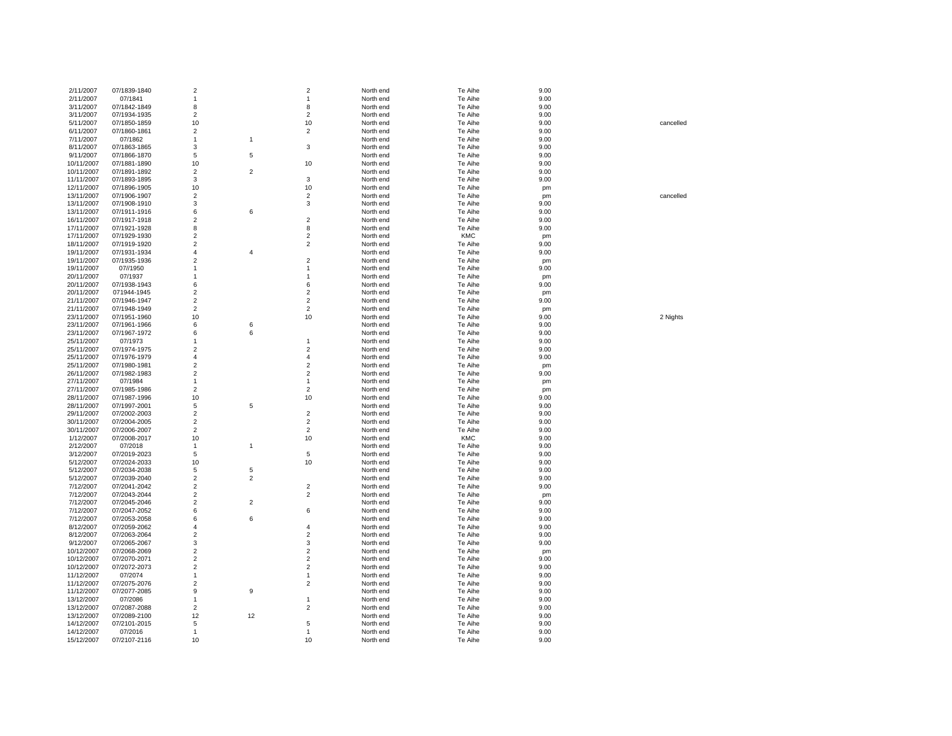| 2/11/2007<br>2/11/2007   |                         |                    |                  |                    |                        |                    |              |           |
|--------------------------|-------------------------|--------------------|------------------|--------------------|------------------------|--------------------|--------------|-----------|
|                          | 07/1839-1840            | $\overline{2}$     |                  | $\overline{2}$     | North end              | Te Aihe            | 9.00         |           |
|                          | 07/1841                 | 1                  |                  | $\mathbf{1}$       | North end              | Te Aihe            | 9.00         |           |
| 3/11/2007                | 07/1842-1849            | 8                  |                  | 8                  | North end              | Te Aihe            | 9.00         |           |
|                          |                         |                    |                  |                    |                        |                    |              |           |
| 3/11/2007                | 07/1934-1935            | $\sqrt{2}$         |                  | $\overline{c}$     | North end              | Te Aihe            | 9.00         |           |
| 5/11/2007                | 07/1850-1859            | 10                 |                  | 10                 | North end              | Te Aihe            | 9.00         | cancelled |
| 6/11/2007                | 07/1860-1861            | $\overline{2}$     |                  | $\overline{2}$     | North end              | Te Aihe            | 9.00         |           |
|                          |                         |                    |                  |                    |                        |                    |              |           |
| 7/11/2007                | 07/1862                 | 1                  | $\mathbf{1}$     |                    | North end              | Te Aihe            | 9.00         |           |
| 8/11/2007                | 07/1863-1865            | 3                  |                  | 3                  | North end              | Te Aihe            | 9.00         |           |
| 9/11/2007                | 07/1866-1870            | 5                  | $\sqrt{5}$       |                    | North end              | Te Aihe            | 9.00         |           |
|                          |                         |                    |                  |                    |                        |                    |              |           |
| 10/11/2007               | 07/1881-1890            | 10                 |                  | 10                 | North end              | Te Aihe            | 9.00         |           |
| 10/11/2007               | 07/1891-1892            | $\overline{2}$     | $\sqrt{2}$       |                    | North end              | Te Aihe            | 9.00         |           |
| 11/11/2007               | 07/1893-1895            | 3                  |                  | 3                  | North end              | Te Aihe            | 9.00         |           |
|                          |                         |                    |                  |                    |                        |                    |              |           |
| 12/11/2007               | 07/1896-1905            | 10                 |                  | 10                 | North end              | Te Aihe            | pm           |           |
| 13/11/2007               | 07/1906-1907            | $\overline{2}$     |                  | $\overline{2}$     | North end              | Te Aihe            | pm           | cancelled |
| 13/11/2007               | 07/1908-1910            | 3                  |                  | $\mathbf 3$        | North end              | Te Aihe            | 9.00         |           |
|                          |                         |                    |                  |                    |                        |                    |              |           |
| 13/11/2007               | 07/1911-1916            | 6                  | 6                |                    | North end              | Te Aihe            | 9.00         |           |
| 16/11/2007               | 07/1917-1918            | $\overline{2}$     |                  | $\overline{2}$     | North end              | Te Aihe            | 9.00         |           |
| 17/11/2007               | 07/1921-1928            | 8                  |                  | 8                  | North end              | Te Aihe            | 9.00         |           |
|                          |                         |                    |                  |                    |                        |                    |              |           |
| 17/11/2007               | 07/1929-1930            | $\overline{2}$     |                  | $\overline{2}$     | North end              | <b>KMC</b>         | pm           |           |
| 18/11/2007               | 07/1919-1920            | $\overline{2}$     |                  | $\overline{2}$     | North end              | Te Aihe            | 9.00         |           |
| 19/11/2007               | 07/1931-1934            | $\overline{4}$     | $\overline{4}$   |                    | North end              | Te Aihe            | 9.00         |           |
| 19/11/2007               | 07/1935-1936            | $\overline{2}$     |                  | $\overline{2}$     | North end              | Te Aihe            |              |           |
|                          |                         |                    |                  |                    |                        |                    | pm           |           |
| 19/11/2007               | 07//1950                | 1                  |                  | $\mathbf{1}$       | North end              | Te Aihe            | 9.00         |           |
| 20/11/2007               | 07/1937                 | $\mathbf{1}$       |                  | $\mathbf{1}$       | North end              | Te Aihe            | pm           |           |
| 20/11/2007               | 07/1938-1943            | 6                  |                  | 6                  | North end              | Te Aihe            | 9.00         |           |
|                          |                         |                    |                  |                    |                        |                    |              |           |
| 20/11/2007               | 071944-1945             | $\sqrt{2}$         |                  | $\overline{2}$     | North end              | Te Aihe            | pm           |           |
| 21/11/2007               | 07/1946-1947            | $\sqrt{2}$         |                  | $\overline{2}$     | North end              | Te Aihe            | 9.00         |           |
| 21/11/2007               | 07/1948-1949            | $\overline{2}$     |                  | $\overline{2}$     | North end              | Te Aihe            | pm           |           |
|                          |                         |                    |                  |                    |                        |                    |              |           |
| 23/11/2007               | 07/1951-1960            | 10                 |                  | 10                 | North end              | Te Aihe            | 9.00         | 2 Nights  |
| 23/11/2007               | 07/1961-1966            | 6                  | 6                |                    | North end              | Te Aihe            | 9.00         |           |
| 23/11/2007               | 07/1967-1972            | 6                  | 6                |                    | North end              | Te Aihe            | 9.00         |           |
| 25/11/2007               | 07/1973                 | $\mathbf{1}$       |                  | $\mathbf{1}$       | North end              | Te Aihe            | 9.00         |           |
|                          |                         |                    |                  |                    |                        |                    |              |           |
| 25/11/2007               | 07/1974-1975            | $\sqrt{2}$         |                  | $\overline{2}$     | North end              | Te Aihe            | 9.00         |           |
| 25/11/2007               | 07/1976-1979            | 4                  |                  | 4                  | North end              | Te Aihe            | 9.00         |           |
| 25/11/2007               | 07/1980-1981            | $\overline{2}$     |                  | $\overline{2}$     | North end              | Te Aihe            | pm           |           |
|                          |                         |                    |                  |                    |                        |                    |              |           |
| 26/11/2007               | 07/1982-1983            | $\overline{2}$     |                  | $\overline{2}$     | North end              | Te Aihe            | 9.00         |           |
| 27/11/2007               | 07/1984                 | $\mathbf{1}$       |                  | $\mathbf{1}$       | North end              | Te Aihe            | pm           |           |
| 27/11/2007               | 07/1985-1986            | $\overline{2}$     |                  | $\overline{2}$     | North end              | Te Aihe            | pm           |           |
| 28/11/2007               | 07/1987-1996            | 10                 |                  | 10                 | North end              | Te Aihe            | 9.00         |           |
|                          |                         |                    |                  |                    |                        |                    |              |           |
| 28/11/2007               | 07/1997-2001            | $\sqrt{5}$         | $\sqrt{5}$       |                    | North end              | Te Aihe            | 9.00         |           |
| 29/11/2007               | 07/2002-2003            | $\overline{2}$     |                  | $\overline{2}$     | North end              | Te Aihe            | 9.00         |           |
| 30/11/2007               | 07/2004-2005            | $\overline{2}$     |                  | $\overline{2}$     | North end              | Te Aihe            | 9.00         |           |
|                          |                         |                    |                  |                    |                        |                    |              |           |
| 30/11/2007               | 07/2006-2007            | $\overline{2}$     |                  | $\overline{2}$     | North end              | Te Aihe            | 9.00         |           |
| 1/12/2007                | 07/2008-2017            | 10                 |                  | 10                 | North end              | <b>KMC</b>         | 9.00         |           |
| 2/12/2007                | 07/2018                 | $\mathbf{1}$       | $\overline{1}$   |                    | North end              | Te Aihe            | 9.00         |           |
| 3/12/2007                | 07/2019-2023            | 5                  |                  | 5                  | North end              | Te Aihe            | 9.00         |           |
|                          |                         |                    |                  |                    |                        |                    |              |           |
| 5/12/2007                | 07/2024-2033            | 10                 |                  | 10                 | North end              | Te Aihe            | 9.00         |           |
| 5/12/2007                | 07/2034-2038            |                    |                  |                    |                        |                    |              |           |
|                          |                         | 5                  | 5                |                    | North end              | Te Aihe            | 9.00         |           |
|                          |                         |                    |                  |                    |                        |                    |              |           |
| 5/12/2007                | 07/2039-2040            | $\overline{2}$     | $\overline{2}$   |                    | North end              | Te Aihe            | 9.00         |           |
| 7/12/2007                | 07/2041-2042            | $\overline{2}$     |                  | $\overline{2}$     | North end              | Te Aihe            | 9.00         |           |
| 7/12/2007                | 07/2043-2044            | $\sqrt{2}$         |                  | $\overline{2}$     | North end              | Te Aihe            | pm           |           |
|                          |                         |                    |                  |                    |                        |                    |              |           |
| 7/12/2007                | 07/2045-2046            | $\mathbf 2$        | $\sqrt{2}$       |                    | North end              | Te Aihe            | 9.00         |           |
| 7/12/2007                | 07/2047-2052            | 6                  |                  | 6                  | North end              | Te Aihe            | 9.00         |           |
| 7/12/2007                | 07/2053-2058            | 6                  | $\boldsymbol{6}$ |                    | North end              | Te Aihe            | 9.00         |           |
| 8/12/2007                | 07/2059-2062            | $\overline{4}$     |                  | $\overline{4}$     | North end              | Te Aihe            | 9.00         |           |
|                          |                         |                    |                  |                    |                        |                    |              |           |
| 8/12/2007                | 07/2063-2064            | $\overline{2}$     |                  | $\overline{2}$     | North end              | Te Aihe            | 9.00         |           |
| 9/12/2007                | 07/2065-2067            | 3                  |                  | 3                  | North end              | Te Aihe            | 9.00         |           |
| 10/12/2007               | 07/2068-2069            | $\overline{2}$     |                  | $\overline{2}$     | North end              | Te Aihe            | pm           |           |
| 10/12/2007               | 07/2070-2071            | $\overline{2}$     |                  | $\overline{2}$     | North end              | Te Aihe            | 9.00         |           |
|                          |                         |                    |                  |                    |                        |                    |              |           |
| 10/12/2007               | 07/2072-2073            | $\overline{2}$     |                  | $\overline{2}$     | North end              | Te Aihe            | 9.00         |           |
| 11/12/2007               | 07/2074                 | $\mathbf{1}$       |                  | $\mathbf{1}$       | North end              | Te Aihe            | 9.00         |           |
| 11/12/2007               | 07/2075-2076            | $\overline{2}$     |                  | $\overline{2}$     | North end              | Te Aihe            | 9.00         |           |
|                          |                         |                    |                  |                    |                        |                    |              |           |
| 11/12/2007               | 07/2077-2085            | 9                  | 9                |                    | North end              | Te Aihe            | 9.00         |           |
| 13/12/2007               | 07/2086                 | 1                  |                  | $\mathbf{1}$       | North end              | Te Aihe            | 9.00         |           |
| 13/12/2007               | 07/2087-2088            | $\overline{2}$     |                  | $\overline{2}$     | North end              | Te Aihe            | 9.00         |           |
| 13/12/2007               | 07/2089-2100            | 12                 | 12               |                    | North end              | Te Aihe            | 9.00         |           |
|                          |                         |                    |                  |                    |                        |                    |              |           |
| 14/12/2007               | 07/2101-2015            | 5                  |                  | 5                  | North end              | Te Aihe            | 9.00         |           |
| 14/12/2007<br>15/12/2007 | 07/2016<br>07/2107-2116 | $\mathbf{1}$<br>10 |                  | $\mathbf{1}$<br>10 | North end<br>North end | Te Aihe<br>Te Aihe | 9.00<br>9.00 |           |